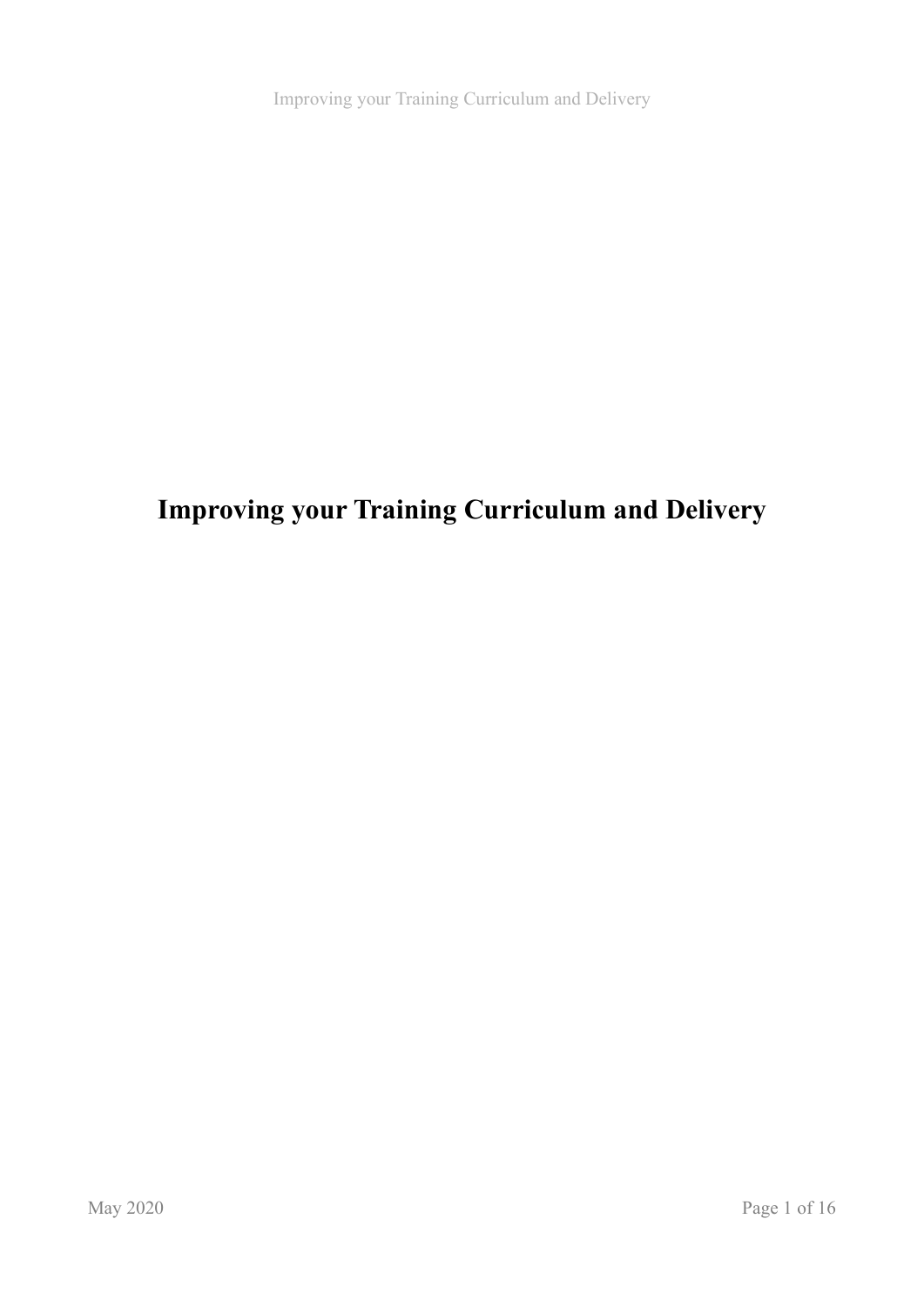# **Improving your Training Curriculum and Delivery**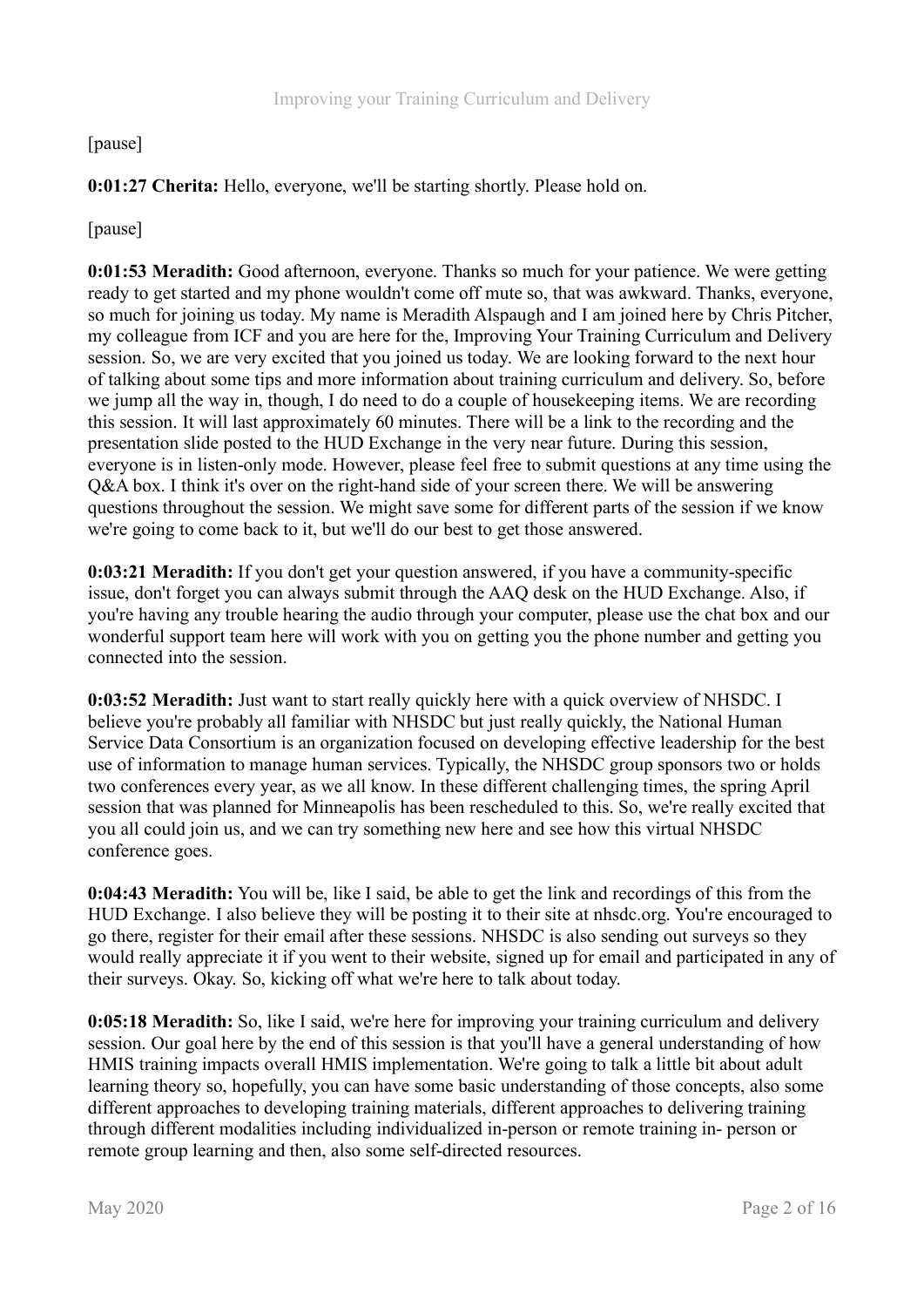## [pause]

**0:01:27 Cherita:** Hello, everyone, we'll be starting shortly. Please hold on.

[pause]

**0:01:53 Meradith:** Good afternoon, everyone. Thanks so much for your patience. We were getting ready to get started and my phone wouldn't come off mute so, that was awkward. Thanks, everyone, so much for joining us today. My name is Meradith Alspaugh and I am joined here by Chris Pitcher, my colleague from ICF and you are here for the, Improving Your Training Curriculum and Delivery session. So, we are very excited that you joined us today. We are looking forward to the next hour of talking about some tips and more information about training curriculum and delivery. So, before we jump all the way in, though, I do need to do a couple of housekeeping items. We are recording this session. It will last approximately 60 minutes. There will be a link to the recording and the presentation slide posted to the HUD Exchange in the very near future. During this session, everyone is in listen-only mode. However, please feel free to submit questions at any time using the Q&A box. I think it's over on the right-hand side of your screen there. We will be answering questions throughout the session. We might save some for different parts of the session if we know we're going to come back to it, but we'll do our best to get those answered.

**0:03:21 Meradith:** If you don't get your question answered, if you have a community-specific issue, don't forget you can always submit through the AAQ desk on the HUD Exchange. Also, if you're having any trouble hearing the audio through your computer, please use the chat box and our wonderful support team here will work with you on getting you the phone number and getting you connected into the session.

**0:03:52 Meradith:** Just want to start really quickly here with a quick overview of NHSDC. I believe you're probably all familiar with NHSDC but just really quickly, the National Human Service Data Consortium is an organization focused on developing effective leadership for the best use of information to manage human services. Typically, the NHSDC group sponsors two or holds two conferences every year, as we all know. In these different challenging times, the spring April session that was planned for Minneapolis has been rescheduled to this. So, we're really excited that you all could join us, and we can try something new here and see how this virtual NHSDC conference goes.

**0:04:43 Meradith:** You will be, like I said, be able to get the link and recordings of this from the HUD Exchange. I also believe they will be posting it to their site at nhsdc.org. You're encouraged to go there, register for their email after these sessions. NHSDC is also sending out surveys so they would really appreciate it if you went to their website, signed up for email and participated in any of their surveys. Okay. So, kicking off what we're here to talk about today.

**0:05:18 Meradith:** So, like I said, we're here for improving your training curriculum and delivery session. Our goal here by the end of this session is that you'll have a general understanding of how HMIS training impacts overall HMIS implementation. We're going to talk a little bit about adult learning theory so, hopefully, you can have some basic understanding of those concepts, also some different approaches to developing training materials, different approaches to delivering training through different modalities including individualized in-person or remote training in- person or remote group learning and then, also some self-directed resources.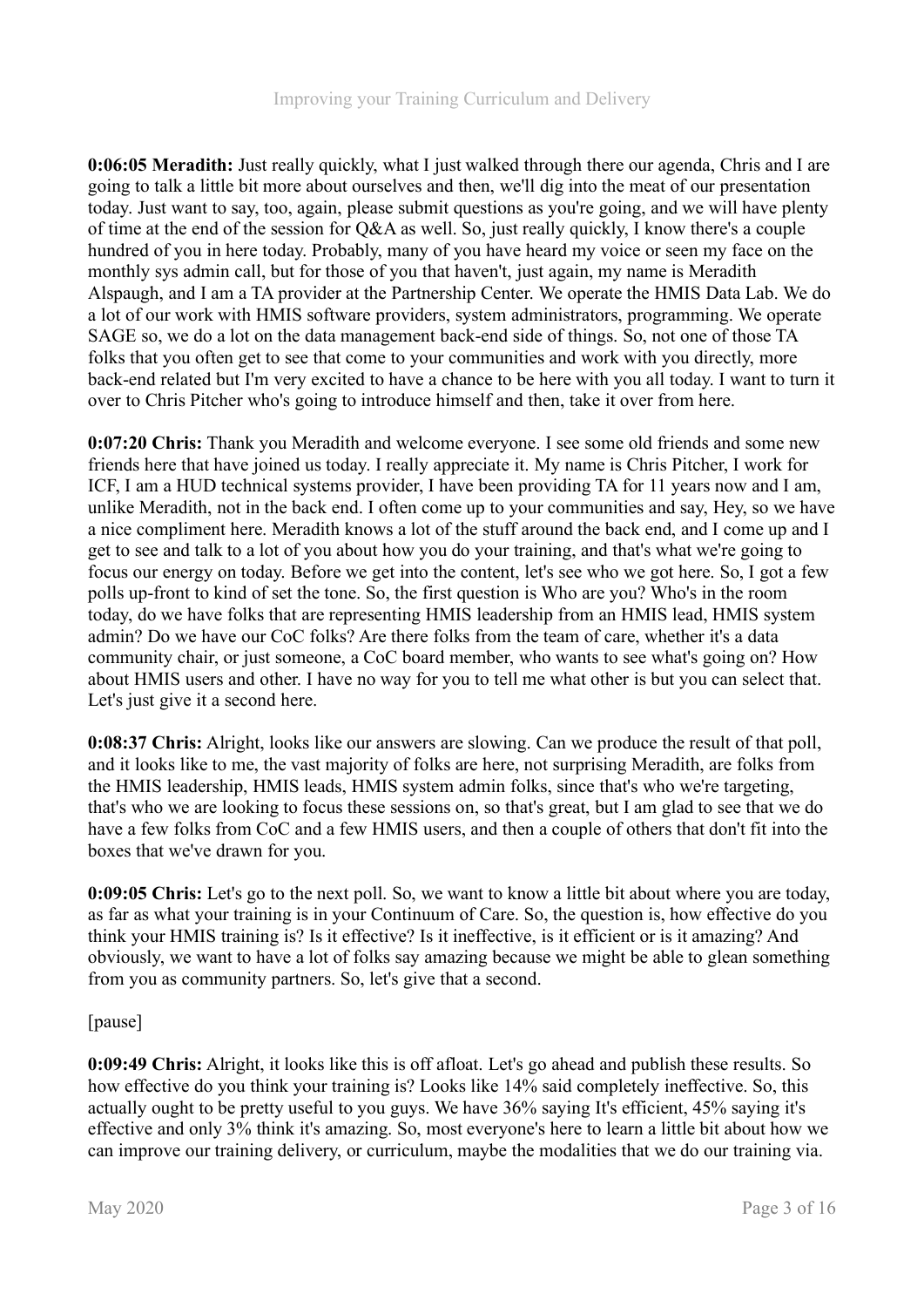**0:06:05 Meradith:** Just really quickly, what I just walked through there our agenda, Chris and I are going to talk a little bit more about ourselves and then, we'll dig into the meat of our presentation today. Just want to say, too, again, please submit questions as you're going, and we will have plenty of time at the end of the session for Q&A as well. So, just really quickly, I know there's a couple hundred of you in here today. Probably, many of you have heard my voice or seen my face on the monthly sys admin call, but for those of you that haven't, just again, my name is Meradith Alspaugh, and I am a TA provider at the Partnership Center. We operate the HMIS Data Lab. We do a lot of our work with HMIS software providers, system administrators, programming. We operate SAGE so, we do a lot on the data management back-end side of things. So, not one of those TA folks that you often get to see that come to your communities and work with you directly, more back-end related but I'm very excited to have a chance to be here with you all today. I want to turn it over to Chris Pitcher who's going to introduce himself and then, take it over from here.

**0:07:20 Chris:** Thank you Meradith and welcome everyone. I see some old friends and some new friends here that have joined us today. I really appreciate it. My name is Chris Pitcher, I work for ICF, I am a HUD technical systems provider, I have been providing TA for 11 years now and I am, unlike Meradith, not in the back end. I often come up to your communities and say, Hey, so we have a nice compliment here. Meradith knows a lot of the stuff around the back end, and I come up and I get to see and talk to a lot of you about how you do your training, and that's what we're going to focus our energy on today. Before we get into the content, let's see who we got here. So, I got a few polls up-front to kind of set the tone. So, the first question is Who are you? Who's in the room today, do we have folks that are representing HMIS leadership from an HMIS lead, HMIS system admin? Do we have our CoC folks? Are there folks from the team of care, whether it's a data community chair, or just someone, a CoC board member, who wants to see what's going on? How about HMIS users and other. I have no way for you to tell me what other is but you can select that. Let's just give it a second here.

**0:08:37 Chris:** Alright, looks like our answers are slowing. Can we produce the result of that poll, and it looks like to me, the vast majority of folks are here, not surprising Meradith, are folks from the HMIS leadership, HMIS leads, HMIS system admin folks, since that's who we're targeting, that's who we are looking to focus these sessions on, so that's great, but I am glad to see that we do have a few folks from CoC and a few HMIS users, and then a couple of others that don't fit into the boxes that we've drawn for you.

**0:09:05 Chris:** Let's go to the next poll. So, we want to know a little bit about where you are today, as far as what your training is in your Continuum of Care. So, the question is, how effective do you think your HMIS training is? Is it effective? Is it ineffective, is it efficient or is it amazing? And obviously, we want to have a lot of folks say amazing because we might be able to glean something from you as community partners. So, let's give that a second.

## [pause]

**0:09:49 Chris:** Alright, it looks like this is off afloat. Let's go ahead and publish these results. So how effective do you think your training is? Looks like 14% said completely ineffective. So, this actually ought to be pretty useful to you guys. We have 36% saying It's efficient, 45% saying it's effective and only 3% think it's amazing. So, most everyone's here to learn a little bit about how we can improve our training delivery, or curriculum, maybe the modalities that we do our training via.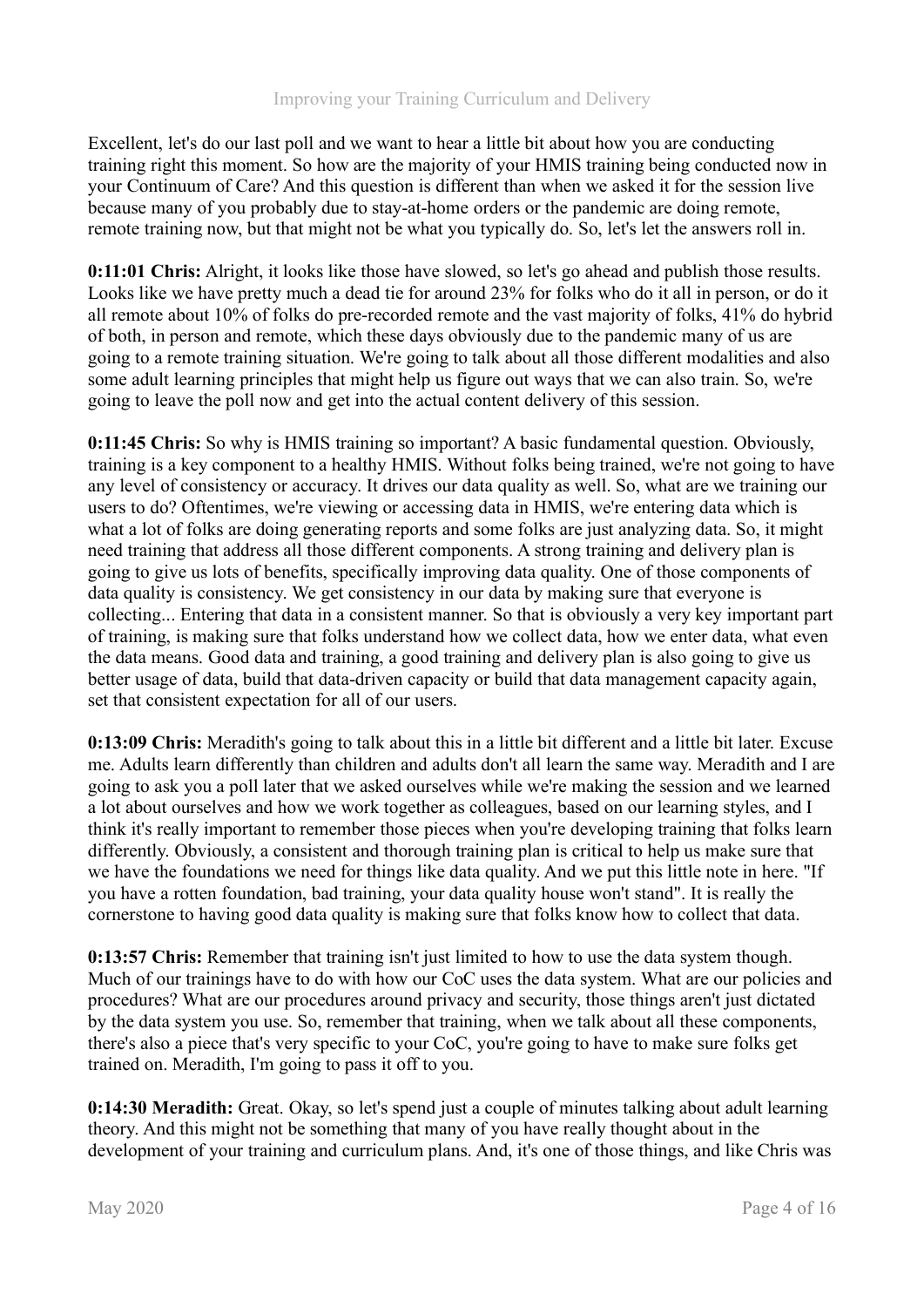Excellent, let's do our last poll and we want to hear a little bit about how you are conducting training right this moment. So how are the majority of your HMIS training being conducted now in your Continuum of Care? And this question is different than when we asked it for the session live because many of you probably due to stay-at-home orders or the pandemic are doing remote, remote training now, but that might not be what you typically do. So, let's let the answers roll in.

**0:11:01 Chris:** Alright, it looks like those have slowed, so let's go ahead and publish those results. Looks like we have pretty much a dead tie for around 23% for folks who do it all in person, or do it all remote about 10% of folks do pre-recorded remote and the vast majority of folks, 41% do hybrid of both, in person and remote, which these days obviously due to the pandemic many of us are going to a remote training situation. We're going to talk about all those different modalities and also some adult learning principles that might help us figure out ways that we can also train. So, we're going to leave the poll now and get into the actual content delivery of this session.

**0:11:45 Chris:** So why is HMIS training so important? A basic fundamental question. Obviously, training is a key component to a healthy HMIS. Without folks being trained, we're not going to have any level of consistency or accuracy. It drives our data quality as well. So, what are we training our users to do? Oftentimes, we're viewing or accessing data in HMIS, we're entering data which is what a lot of folks are doing generating reports and some folks are just analyzing data. So, it might need training that address all those different components. A strong training and delivery plan is going to give us lots of benefits, specifically improving data quality. One of those components of data quality is consistency. We get consistency in our data by making sure that everyone is collecting... Entering that data in a consistent manner. So that is obviously a very key important part of training, is making sure that folks understand how we collect data, how we enter data, what even the data means. Good data and training, a good training and delivery plan is also going to give us better usage of data, build that data-driven capacity or build that data management capacity again, set that consistent expectation for all of our users.

**0:13:09 Chris:** Meradith's going to talk about this in a little bit different and a little bit later. Excuse me. Adults learn differently than children and adults don't all learn the same way. Meradith and I are going to ask you a poll later that we asked ourselves while we're making the session and we learned a lot about ourselves and how we work together as colleagues, based on our learning styles, and I think it's really important to remember those pieces when you're developing training that folks learn differently. Obviously, a consistent and thorough training plan is critical to help us make sure that we have the foundations we need for things like data quality. And we put this little note in here. "If you have a rotten foundation, bad training, your data quality house won't stand". It is really the cornerstone to having good data quality is making sure that folks know how to collect that data.

**0:13:57 Chris:** Remember that training isn't just limited to how to use the data system though. Much of our trainings have to do with how our CoC uses the data system. What are our policies and procedures? What are our procedures around privacy and security, those things aren't just dictated by the data system you use. So, remember that training, when we talk about all these components, there's also a piece that's very specific to your CoC, you're going to have to make sure folks get trained on. Meradith, I'm going to pass it off to you.

**0:14:30 Meradith:** Great. Okay, so let's spend just a couple of minutes talking about adult learning theory. And this might not be something that many of you have really thought about in the development of your training and curriculum plans. And, it's one of those things, and like Chris was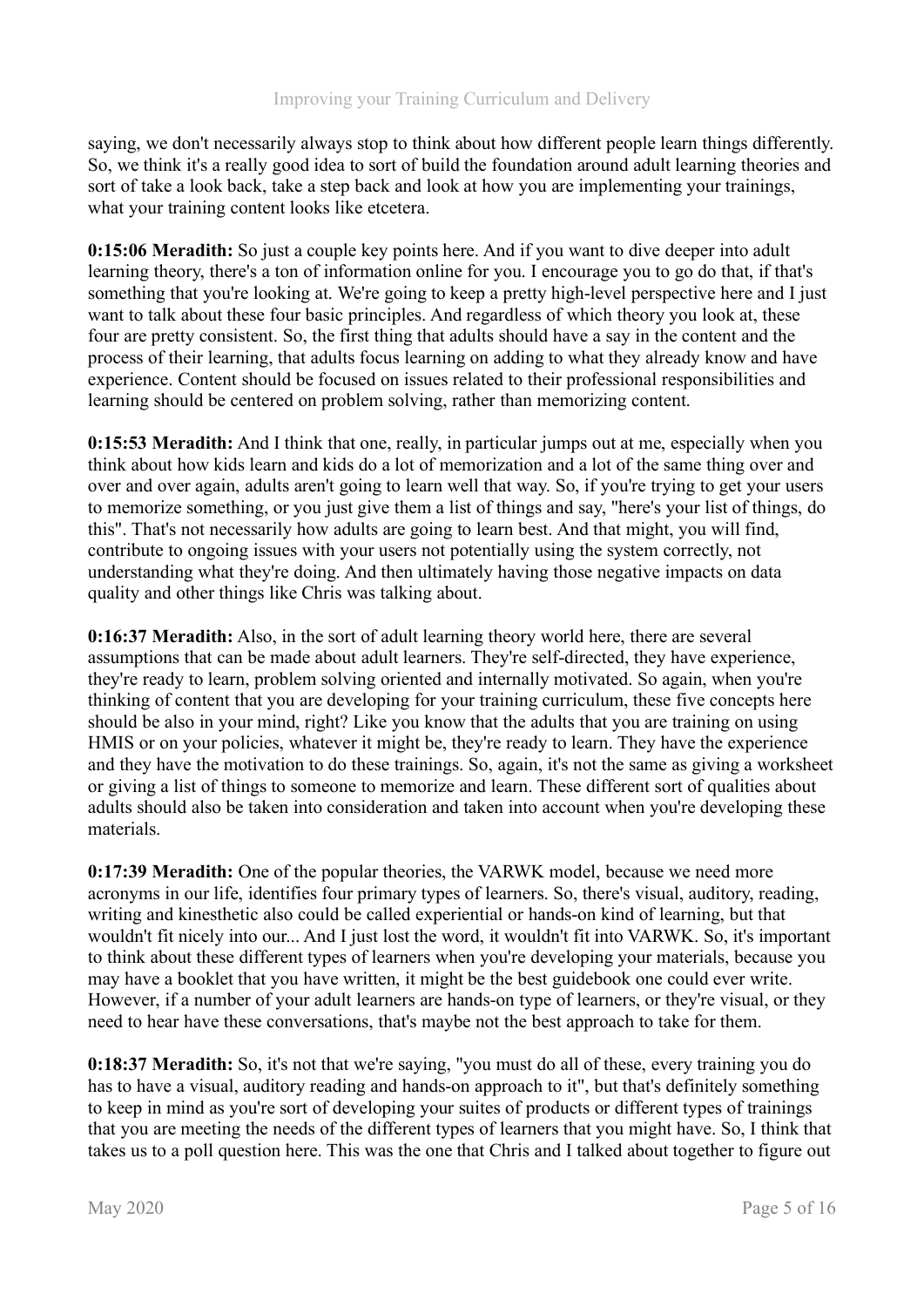saying, we don't necessarily always stop to think about how different people learn things differently. So, we think it's a really good idea to sort of build the foundation around adult learning theories and sort of take a look back, take a step back and look at how you are implementing your trainings, what your training content looks like etcetera.

**0:15:06 Meradith:** So just a couple key points here. And if you want to dive deeper into adult learning theory, there's a ton of information online for you. I encourage you to go do that, if that's something that you're looking at. We're going to keep a pretty high-level perspective here and I just want to talk about these four basic principles. And regardless of which theory you look at, these four are pretty consistent. So, the first thing that adults should have a say in the content and the process of their learning, that adults focus learning on adding to what they already know and have experience. Content should be focused on issues related to their professional responsibilities and learning should be centered on problem solving, rather than memorizing content.

**0:15:53 Meradith:** And I think that one, really, in particular jumps out at me, especially when you think about how kids learn and kids do a lot of memorization and a lot of the same thing over and over and over again, adults aren't going to learn well that way. So, if you're trying to get your users to memorize something, or you just give them a list of things and say, "here's your list of things, do this". That's not necessarily how adults are going to learn best. And that might, you will find, contribute to ongoing issues with your users not potentially using the system correctly, not understanding what they're doing. And then ultimately having those negative impacts on data quality and other things like Chris was talking about.

**0:16:37 Meradith:** Also, in the sort of adult learning theory world here, there are several assumptions that can be made about adult learners. They're self-directed, they have experience, they're ready to learn, problem solving oriented and internally motivated. So again, when you're thinking of content that you are developing for your training curriculum, these five concepts here should be also in your mind, right? Like you know that the adults that you are training on using HMIS or on your policies, whatever it might be, they're ready to learn. They have the experience and they have the motivation to do these trainings. So, again, it's not the same as giving a worksheet or giving a list of things to someone to memorize and learn. These different sort of qualities about adults should also be taken into consideration and taken into account when you're developing these materials.

**0:17:39 Meradith:** One of the popular theories, the VARWK model, because we need more acronyms in our life, identifies four primary types of learners. So, there's visual, auditory, reading, writing and kinesthetic also could be called experiential or hands-on kind of learning, but that wouldn't fit nicely into our... And I just lost the word, it wouldn't fit into VARWK. So, it's important to think about these different types of learners when you're developing your materials, because you may have a booklet that you have written, it might be the best guidebook one could ever write. However, if a number of your adult learners are hands-on type of learners, or they're visual, or they need to hear have these conversations, that's maybe not the best approach to take for them.

**0:18:37 Meradith:** So, it's not that we're saying, "you must do all of these, every training you do has to have a visual, auditory reading and hands-on approach to it", but that's definitely something to keep in mind as you're sort of developing your suites of products or different types of trainings that you are meeting the needs of the different types of learners that you might have. So, I think that takes us to a poll question here. This was the one that Chris and I talked about together to figure out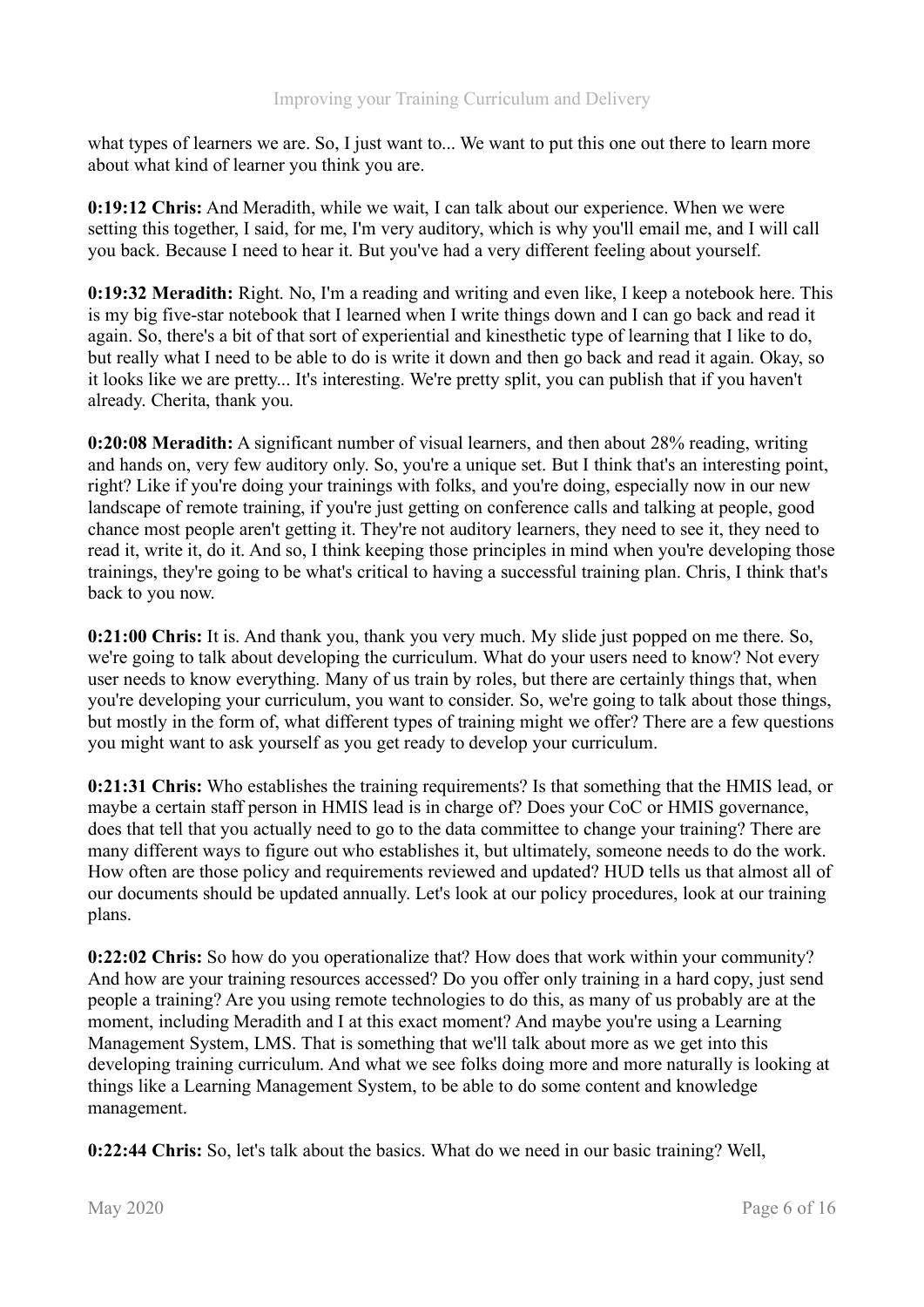what types of learners we are. So, I just want to... We want to put this one out there to learn more about what kind of learner you think you are.

**0:19:12 Chris:** And Meradith, while we wait, I can talk about our experience. When we were setting this together, I said, for me, I'm very auditory, which is why you'll email me, and I will call you back. Because I need to hear it. But you've had a very different feeling about yourself.

**0:19:32 Meradith:** Right. No, I'm a reading and writing and even like, I keep a notebook here. This is my big five-star notebook that I learned when I write things down and I can go back and read it again. So, there's a bit of that sort of experiential and kinesthetic type of learning that I like to do, but really what I need to be able to do is write it down and then go back and read it again. Okay, so it looks like we are pretty... It's interesting. We're pretty split, you can publish that if you haven't already. Cherita, thank you.

**0:20:08 Meradith:** A significant number of visual learners, and then about 28% reading, writing and hands on, very few auditory only. So, you're a unique set. But I think that's an interesting point, right? Like if you're doing your trainings with folks, and you're doing, especially now in our new landscape of remote training, if you're just getting on conference calls and talking at people, good chance most people aren't getting it. They're not auditory learners, they need to see it, they need to read it, write it, do it. And so, I think keeping those principles in mind when you're developing those trainings, they're going to be what's critical to having a successful training plan. Chris, I think that's back to you now.

**0:21:00 Chris:** It is. And thank you, thank you very much. My slide just popped on me there. So, we're going to talk about developing the curriculum. What do your users need to know? Not every user needs to know everything. Many of us train by roles, but there are certainly things that, when you're developing your curriculum, you want to consider. So, we're going to talk about those things, but mostly in the form of, what different types of training might we offer? There are a few questions you might want to ask yourself as you get ready to develop your curriculum.

**0:21:31 Chris:** Who establishes the training requirements? Is that something that the HMIS lead, or maybe a certain staff person in HMIS lead is in charge of? Does your CoC or HMIS governance, does that tell that you actually need to go to the data committee to change your training? There are many different ways to figure out who establishes it, but ultimately, someone needs to do the work. How often are those policy and requirements reviewed and updated? HUD tells us that almost all of our documents should be updated annually. Let's look at our policy procedures, look at our training plans.

**0:22:02 Chris:** So how do you operationalize that? How does that work within your community? And how are your training resources accessed? Do you offer only training in a hard copy, just send people a training? Are you using remote technologies to do this, as many of us probably are at the moment, including Meradith and I at this exact moment? And maybe you're using a Learning Management System, LMS. That is something that we'll talk about more as we get into this developing training curriculum. And what we see folks doing more and more naturally is looking at things like a Learning Management System, to be able to do some content and knowledge management.

**0:22:44 Chris:** So, let's talk about the basics. What do we need in our basic training? Well,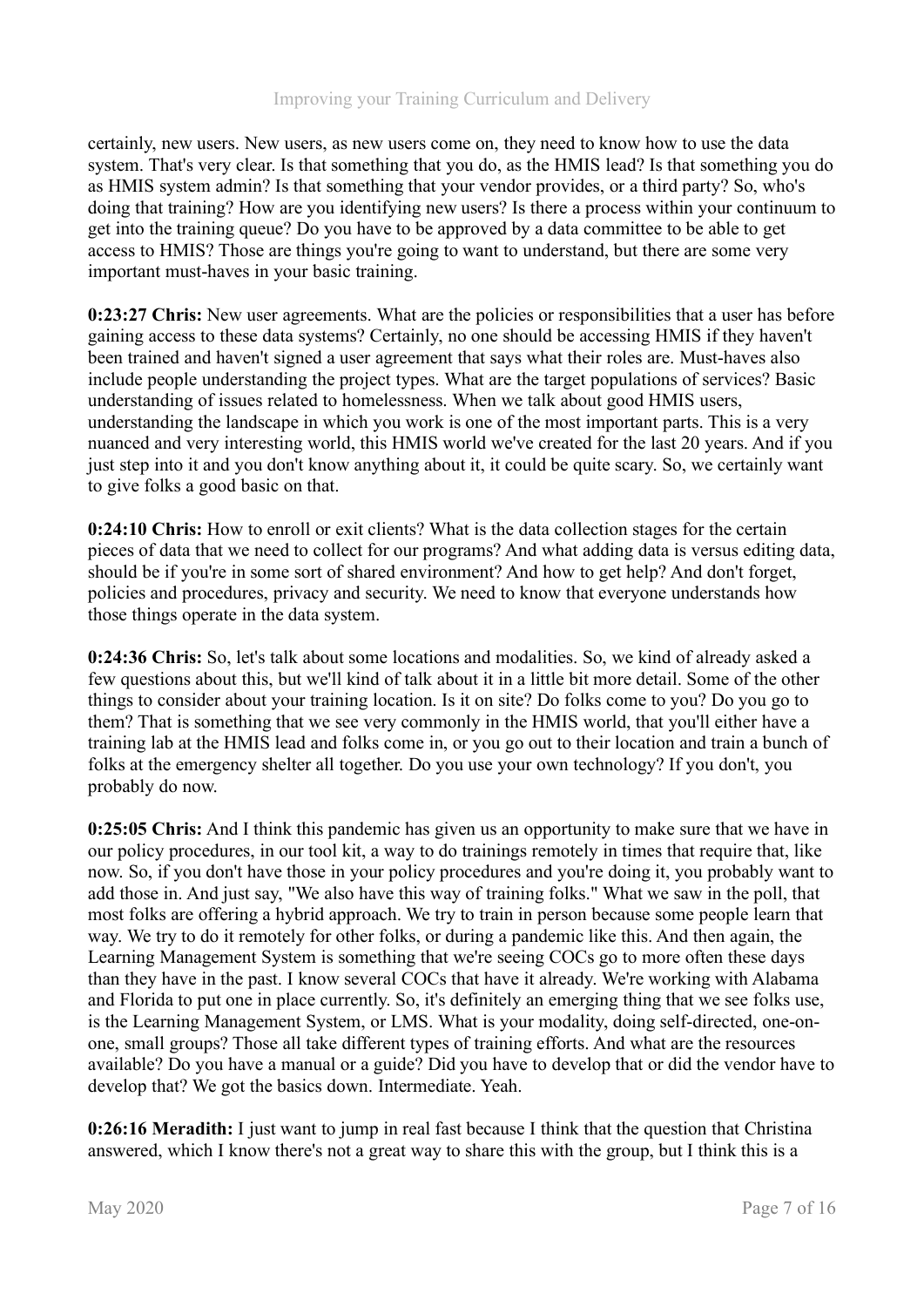certainly, new users. New users, as new users come on, they need to know how to use the data system. That's very clear. Is that something that you do, as the HMIS lead? Is that something you do as HMIS system admin? Is that something that your vendor provides, or a third party? So, who's doing that training? How are you identifying new users? Is there a process within your continuum to get into the training queue? Do you have to be approved by a data committee to be able to get access to HMIS? Those are things you're going to want to understand, but there are some very important must-haves in your basic training.

**0:23:27 Chris:** New user agreements. What are the policies or responsibilities that a user has before gaining access to these data systems? Certainly, no one should be accessing HMIS if they haven't been trained and haven't signed a user agreement that says what their roles are. Must-haves also include people understanding the project types. What are the target populations of services? Basic understanding of issues related to homelessness. When we talk about good HMIS users, understanding the landscape in which you work is one of the most important parts. This is a very nuanced and very interesting world, this HMIS world we've created for the last 20 years. And if you just step into it and you don't know anything about it, it could be quite scary. So, we certainly want to give folks a good basic on that.

**0:24:10 Chris:** How to enroll or exit clients? What is the data collection stages for the certain pieces of data that we need to collect for our programs? And what adding data is versus editing data, should be if you're in some sort of shared environment? And how to get help? And don't forget, policies and procedures, privacy and security. We need to know that everyone understands how those things operate in the data system.

**0:24:36 Chris:** So, let's talk about some locations and modalities. So, we kind of already asked a few questions about this, but we'll kind of talk about it in a little bit more detail. Some of the other things to consider about your training location. Is it on site? Do folks come to you? Do you go to them? That is something that we see very commonly in the HMIS world, that you'll either have a training lab at the HMIS lead and folks come in, or you go out to their location and train a bunch of folks at the emergency shelter all together. Do you use your own technology? If you don't, you probably do now.

**0:25:05 Chris:** And I think this pandemic has given us an opportunity to make sure that we have in our policy procedures, in our tool kit, a way to do trainings remotely in times that require that, like now. So, if you don't have those in your policy procedures and you're doing it, you probably want to add those in. And just say, "We also have this way of training folks." What we saw in the poll, that most folks are offering a hybrid approach. We try to train in person because some people learn that way. We try to do it remotely for other folks, or during a pandemic like this. And then again, the Learning Management System is something that we're seeing COCs go to more often these days than they have in the past. I know several COCs that have it already. We're working with Alabama and Florida to put one in place currently. So, it's definitely an emerging thing that we see folks use, is the Learning Management System, or LMS. What is your modality, doing self-directed, one-onone, small groups? Those all take different types of training efforts. And what are the resources available? Do you have a manual or a guide? Did you have to develop that or did the vendor have to develop that? We got the basics down. Intermediate. Yeah.

**0:26:16 Meradith:** I just want to jump in real fast because I think that the question that Christina answered, which I know there's not a great way to share this with the group, but I think this is a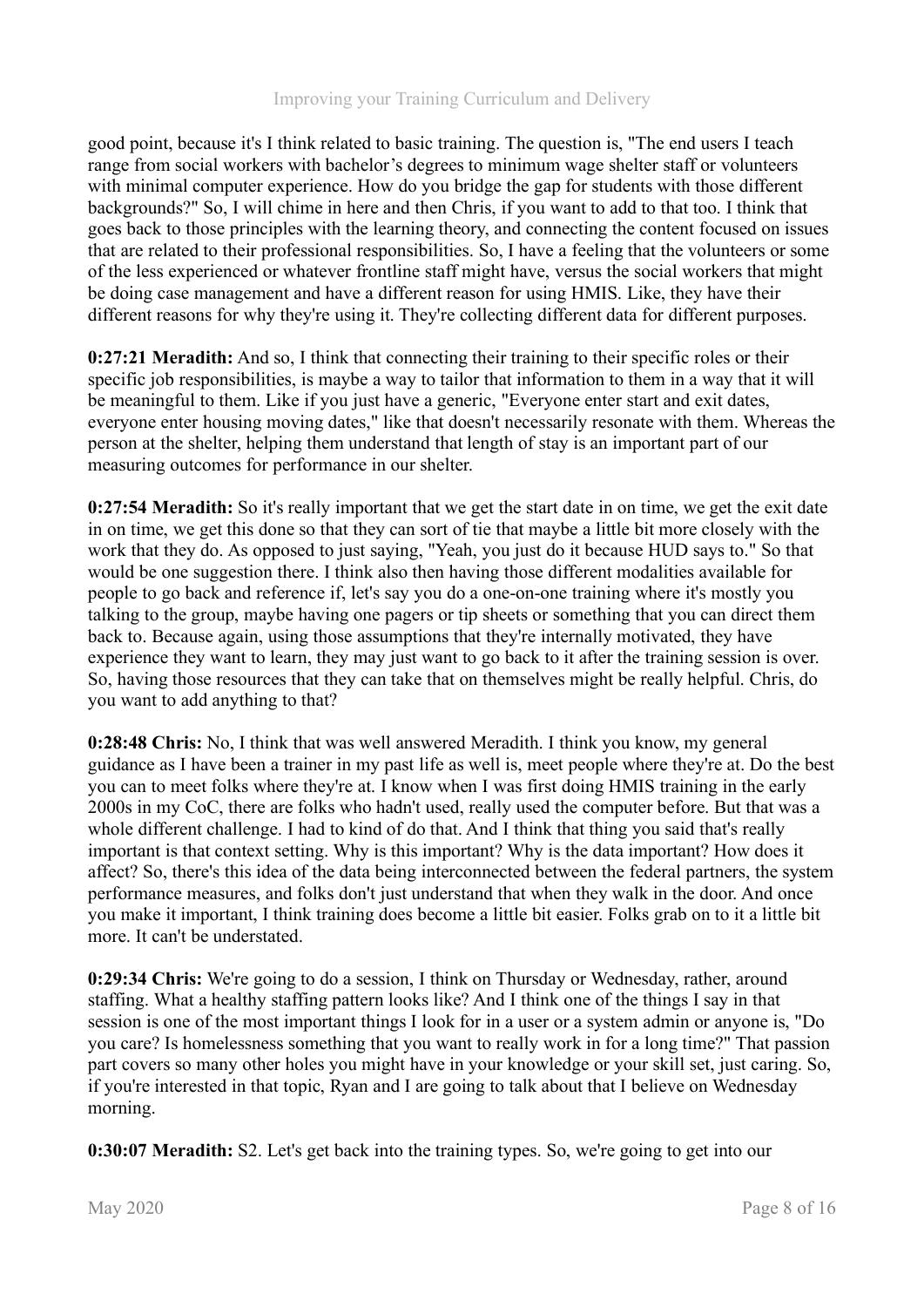good point, because it's I think related to basic training. The question is, "The end users I teach range from social workers with bachelor's degrees to minimum wage shelter staff or volunteers with minimal computer experience. How do you bridge the gap for students with those different backgrounds?" So, I will chime in here and then Chris, if you want to add to that too. I think that goes back to those principles with the learning theory, and connecting the content focused on issues that are related to their professional responsibilities. So, I have a feeling that the volunteers or some of the less experienced or whatever frontline staff might have, versus the social workers that might be doing case management and have a different reason for using HMIS. Like, they have their different reasons for why they're using it. They're collecting different data for different purposes.

**0:27:21 Meradith:** And so, I think that connecting their training to their specific roles or their specific job responsibilities, is maybe a way to tailor that information to them in a way that it will be meaningful to them. Like if you just have a generic, "Everyone enter start and exit dates, everyone enter housing moving dates," like that doesn't necessarily resonate with them. Whereas the person at the shelter, helping them understand that length of stay is an important part of our measuring outcomes for performance in our shelter.

**0:27:54 Meradith:** So it's really important that we get the start date in on time, we get the exit date in on time, we get this done so that they can sort of tie that maybe a little bit more closely with the work that they do. As opposed to just saying, "Yeah, you just do it because HUD says to." So that would be one suggestion there. I think also then having those different modalities available for people to go back and reference if, let's say you do a one-on-one training where it's mostly you talking to the group, maybe having one pagers or tip sheets or something that you can direct them back to. Because again, using those assumptions that they're internally motivated, they have experience they want to learn, they may just want to go back to it after the training session is over. So, having those resources that they can take that on themselves might be really helpful. Chris, do you want to add anything to that?

**0:28:48 Chris:** No, I think that was well answered Meradith. I think you know, my general guidance as I have been a trainer in my past life as well is, meet people where they're at. Do the best you can to meet folks where they're at. I know when I was first doing HMIS training in the early 2000s in my CoC, there are folks who hadn't used, really used the computer before. But that was a whole different challenge. I had to kind of do that. And I think that thing you said that's really important is that context setting. Why is this important? Why is the data important? How does it affect? So, there's this idea of the data being interconnected between the federal partners, the system performance measures, and folks don't just understand that when they walk in the door. And once you make it important, I think training does become a little bit easier. Folks grab on to it a little bit more. It can't be understated.

**0:29:34 Chris:** We're going to do a session, I think on Thursday or Wednesday, rather, around staffing. What a healthy staffing pattern looks like? And I think one of the things I say in that session is one of the most important things I look for in a user or a system admin or anyone is, "Do you care? Is homelessness something that you want to really work in for a long time?" That passion part covers so many other holes you might have in your knowledge or your skill set, just caring. So, if you're interested in that topic, Ryan and I are going to talk about that I believe on Wednesday morning.

**0:30:07 Meradith:** S2. Let's get back into the training types. So, we're going to get into our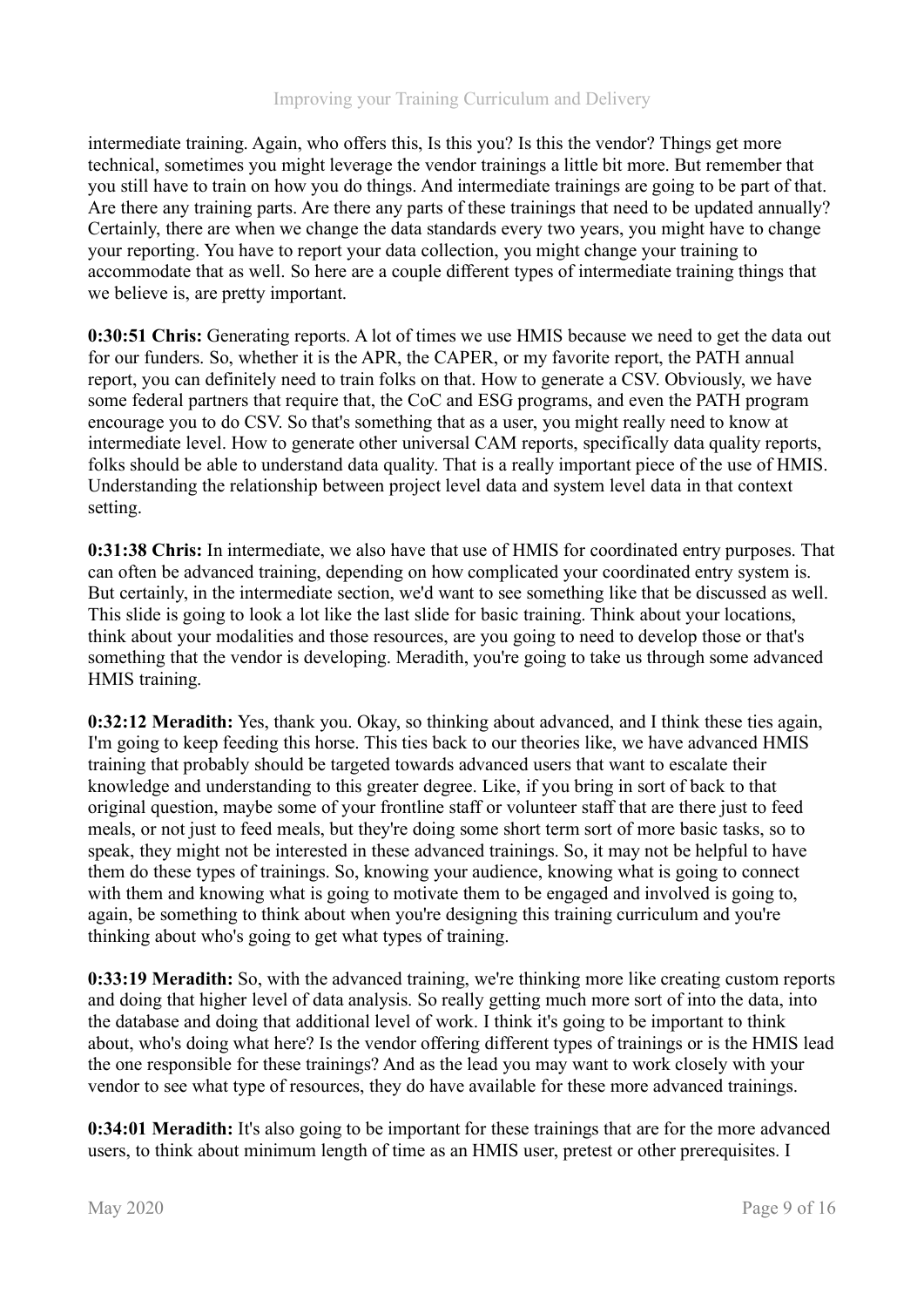intermediate training. Again, who offers this, Is this you? Is this the vendor? Things get more technical, sometimes you might leverage the vendor trainings a little bit more. But remember that you still have to train on how you do things. And intermediate trainings are going to be part of that. Are there any training parts. Are there any parts of these trainings that need to be updated annually? Certainly, there are when we change the data standards every two years, you might have to change your reporting. You have to report your data collection, you might change your training to accommodate that as well. So here are a couple different types of intermediate training things that we believe is, are pretty important.

**0:30:51 Chris:** Generating reports. A lot of times we use HMIS because we need to get the data out for our funders. So, whether it is the APR, the CAPER, or my favorite report, the PATH annual report, you can definitely need to train folks on that. How to generate a CSV. Obviously, we have some federal partners that require that, the CoC and ESG programs, and even the PATH program encourage you to do CSV. So that's something that as a user, you might really need to know at intermediate level. How to generate other universal CAM reports, specifically data quality reports, folks should be able to understand data quality. That is a really important piece of the use of HMIS. Understanding the relationship between project level data and system level data in that context setting.

**0:31:38 Chris:** In intermediate, we also have that use of HMIS for coordinated entry purposes. That can often be advanced training, depending on how complicated your coordinated entry system is. But certainly, in the intermediate section, we'd want to see something like that be discussed as well. This slide is going to look a lot like the last slide for basic training. Think about your locations, think about your modalities and those resources, are you going to need to develop those or that's something that the vendor is developing. Meradith, you're going to take us through some advanced HMIS training.

**0:32:12 Meradith:** Yes, thank you. Okay, so thinking about advanced, and I think these ties again, I'm going to keep feeding this horse. This ties back to our theories like, we have advanced HMIS training that probably should be targeted towards advanced users that want to escalate their knowledge and understanding to this greater degree. Like, if you bring in sort of back to that original question, maybe some of your frontline staff or volunteer staff that are there just to feed meals, or not just to feed meals, but they're doing some short term sort of more basic tasks, so to speak, they might not be interested in these advanced trainings. So, it may not be helpful to have them do these types of trainings. So, knowing your audience, knowing what is going to connect with them and knowing what is going to motivate them to be engaged and involved is going to, again, be something to think about when you're designing this training curriculum and you're thinking about who's going to get what types of training.

**0:33:19 Meradith:** So, with the advanced training, we're thinking more like creating custom reports and doing that higher level of data analysis. So really getting much more sort of into the data, into the database and doing that additional level of work. I think it's going to be important to think about, who's doing what here? Is the vendor offering different types of trainings or is the HMIS lead the one responsible for these trainings? And as the lead you may want to work closely with your vendor to see what type of resources, they do have available for these more advanced trainings.

**0:34:01 Meradith:** It's also going to be important for these trainings that are for the more advanced users, to think about minimum length of time as an HMIS user, pretest or other prerequisites. I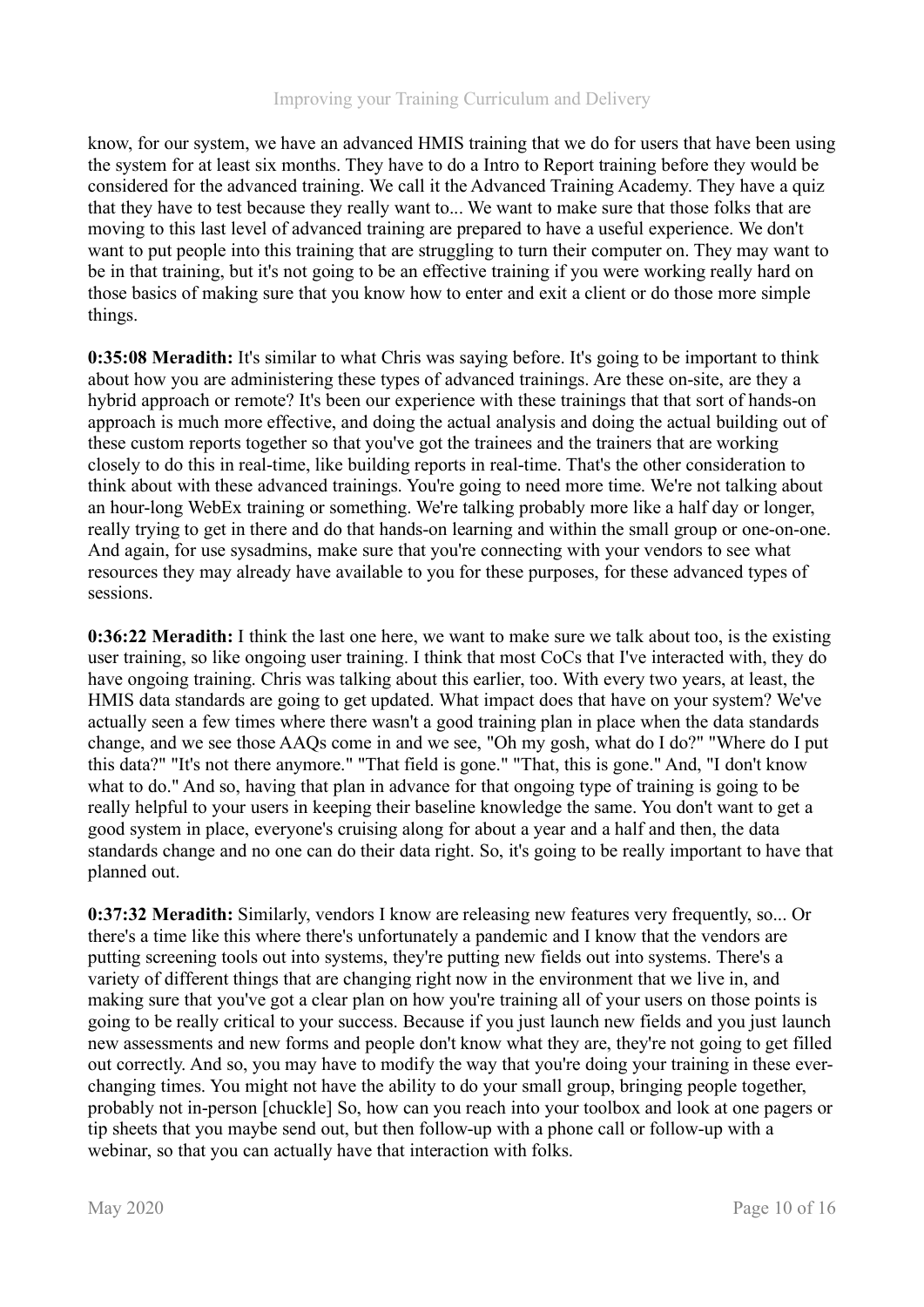know, for our system, we have an advanced HMIS training that we do for users that have been using the system for at least six months. They have to do a Intro to Report training before they would be considered for the advanced training. We call it the Advanced Training Academy. They have a quiz that they have to test because they really want to... We want to make sure that those folks that are moving to this last level of advanced training are prepared to have a useful experience. We don't want to put people into this training that are struggling to turn their computer on. They may want to be in that training, but it's not going to be an effective training if you were working really hard on those basics of making sure that you know how to enter and exit a client or do those more simple things.

**0:35:08 Meradith:** It's similar to what Chris was saying before. It's going to be important to think about how you are administering these types of advanced trainings. Are these on-site, are they a hybrid approach or remote? It's been our experience with these trainings that that sort of hands-on approach is much more effective, and doing the actual analysis and doing the actual building out of these custom reports together so that you've got the trainees and the trainers that are working closely to do this in real-time, like building reports in real-time. That's the other consideration to think about with these advanced trainings. You're going to need more time. We're not talking about an hour-long WebEx training or something. We're talking probably more like a half day or longer, really trying to get in there and do that hands-on learning and within the small group or one-on-one. And again, for use sysadmins, make sure that you're connecting with your vendors to see what resources they may already have available to you for these purposes, for these advanced types of sessions.

**0:36:22 Meradith:** I think the last one here, we want to make sure we talk about too, is the existing user training, so like ongoing user training. I think that most CoCs that I've interacted with, they do have ongoing training. Chris was talking about this earlier, too. With every two years, at least, the HMIS data standards are going to get updated. What impact does that have on your system? We've actually seen a few times where there wasn't a good training plan in place when the data standards change, and we see those AAQs come in and we see, "Oh my gosh, what do I do?" "Where do I put this data?" "It's not there anymore." "That field is gone." "That, this is gone." And, "I don't know what to do." And so, having that plan in advance for that ongoing type of training is going to be really helpful to your users in keeping their baseline knowledge the same. You don't want to get a good system in place, everyone's cruising along for about a year and a half and then, the data standards change and no one can do their data right. So, it's going to be really important to have that planned out.

**0:37:32 Meradith:** Similarly, vendors I know are releasing new features very frequently, so... Or there's a time like this where there's unfortunately a pandemic and I know that the vendors are putting screening tools out into systems, they're putting new fields out into systems. There's a variety of different things that are changing right now in the environment that we live in, and making sure that you've got a clear plan on how you're training all of your users on those points is going to be really critical to your success. Because if you just launch new fields and you just launch new assessments and new forms and people don't know what they are, they're not going to get filled out correctly. And so, you may have to modify the way that you're doing your training in these everchanging times. You might not have the ability to do your small group, bringing people together, probably not in-person [chuckle] So, how can you reach into your toolbox and look at one pagers or tip sheets that you maybe send out, but then follow-up with a phone call or follow-up with a webinar, so that you can actually have that interaction with folks.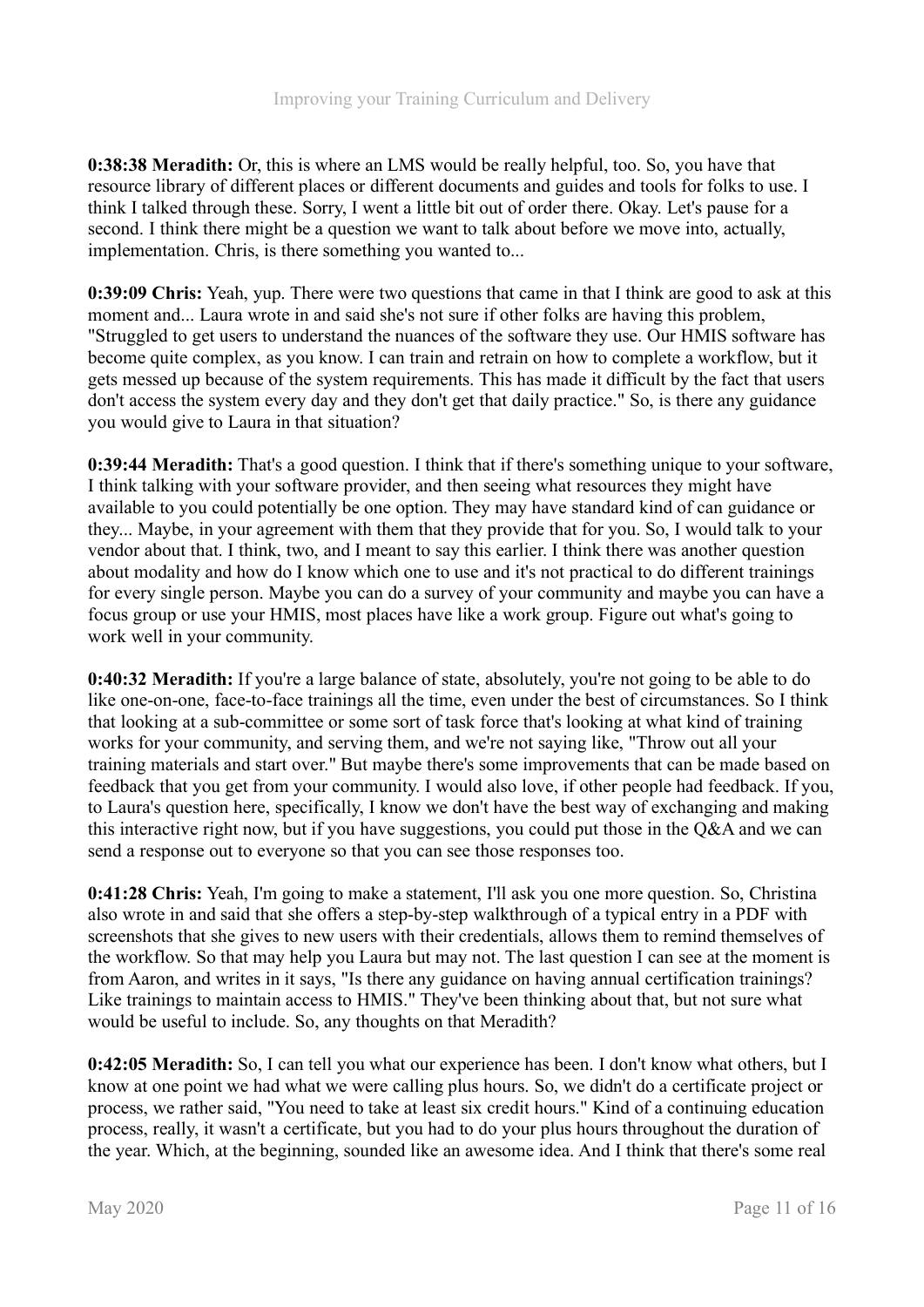**0:38:38 Meradith:** Or, this is where an LMS would be really helpful, too. So, you have that resource library of different places or different documents and guides and tools for folks to use. I think I talked through these. Sorry, I went a little bit out of order there. Okay. Let's pause for a second. I think there might be a question we want to talk about before we move into, actually, implementation. Chris, is there something you wanted to...

**0:39:09 Chris:** Yeah, yup. There were two questions that came in that I think are good to ask at this moment and... Laura wrote in and said she's not sure if other folks are having this problem, "Struggled to get users to understand the nuances of the software they use. Our HMIS software has become quite complex, as you know. I can train and retrain on how to complete a workflow, but it gets messed up because of the system requirements. This has made it difficult by the fact that users don't access the system every day and they don't get that daily practice." So, is there any guidance you would give to Laura in that situation?

**0:39:44 Meradith:** That's a good question. I think that if there's something unique to your software, I think talking with your software provider, and then seeing what resources they might have available to you could potentially be one option. They may have standard kind of can guidance or they... Maybe, in your agreement with them that they provide that for you. So, I would talk to your vendor about that. I think, two, and I meant to say this earlier. I think there was another question about modality and how do I know which one to use and it's not practical to do different trainings for every single person. Maybe you can do a survey of your community and maybe you can have a focus group or use your HMIS, most places have like a work group. Figure out what's going to work well in your community.

**0:40:32 Meradith:** If you're a large balance of state, absolutely, you're not going to be able to do like one-on-one, face-to-face trainings all the time, even under the best of circumstances. So I think that looking at a sub-committee or some sort of task force that's looking at what kind of training works for your community, and serving them, and we're not saying like, "Throw out all your training materials and start over." But maybe there's some improvements that can be made based on feedback that you get from your community. I would also love, if other people had feedback. If you, to Laura's question here, specifically, I know we don't have the best way of exchanging and making this interactive right now, but if you have suggestions, you could put those in the Q&A and we can send a response out to everyone so that you can see those responses too.

**0:41:28 Chris:** Yeah, I'm going to make a statement, I'll ask you one more question. So, Christina also wrote in and said that she offers a step-by-step walkthrough of a typical entry in a PDF with screenshots that she gives to new users with their credentials, allows them to remind themselves of the workflow. So that may help you Laura but may not. The last question I can see at the moment is from Aaron, and writes in it says, "Is there any guidance on having annual certification trainings? Like trainings to maintain access to HMIS." They've been thinking about that, but not sure what would be useful to include. So, any thoughts on that Meradith?

**0:42:05 Meradith:** So, I can tell you what our experience has been. I don't know what others, but I know at one point we had what we were calling plus hours. So, we didn't do a certificate project or process, we rather said, "You need to take at least six credit hours." Kind of a continuing education process, really, it wasn't a certificate, but you had to do your plus hours throughout the duration of the year. Which, at the beginning, sounded like an awesome idea. And I think that there's some real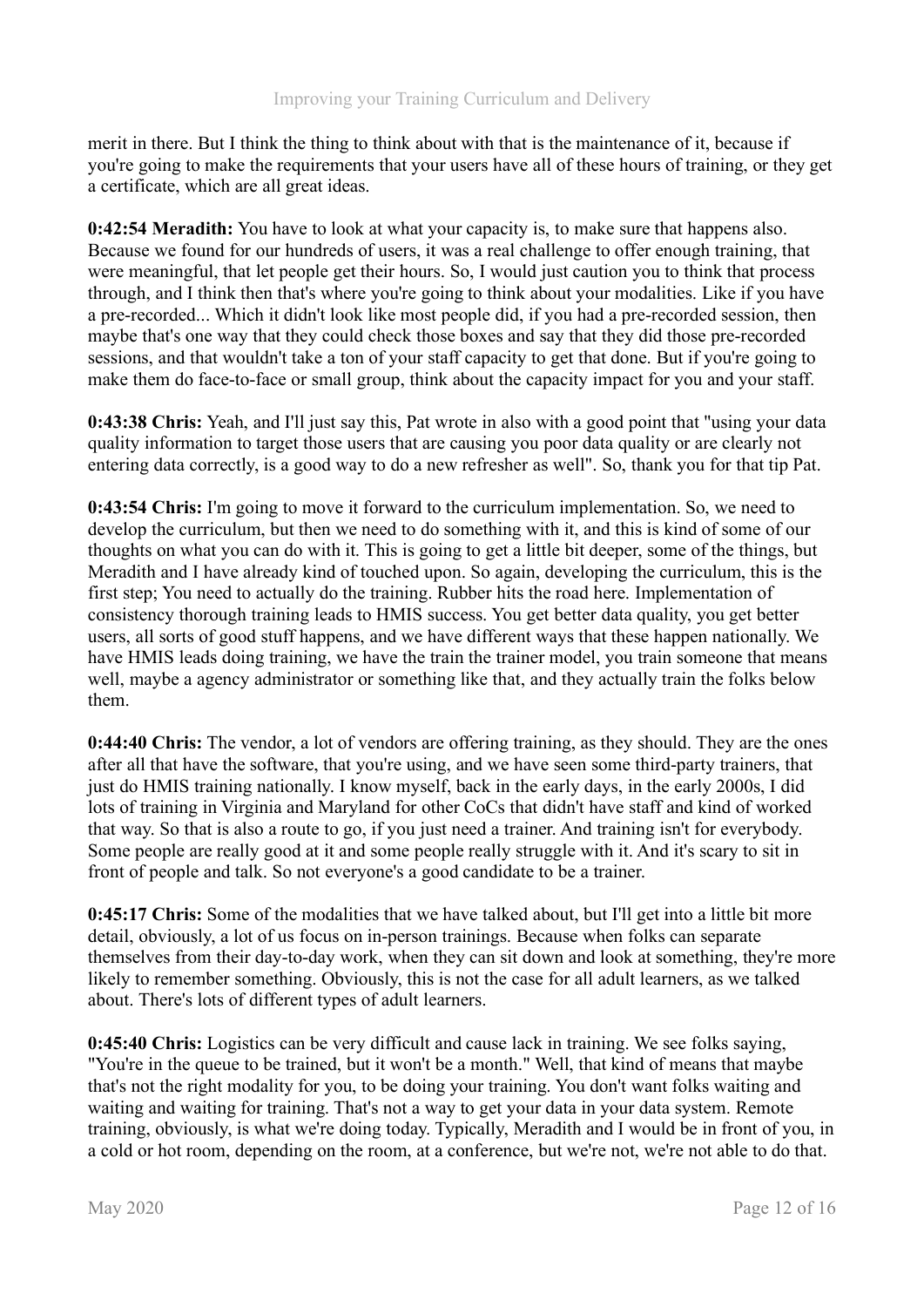merit in there. But I think the thing to think about with that is the maintenance of it, because if you're going to make the requirements that your users have all of these hours of training, or they get a certificate, which are all great ideas.

**0:42:54 Meradith:** You have to look at what your capacity is, to make sure that happens also. Because we found for our hundreds of users, it was a real challenge to offer enough training, that were meaningful, that let people get their hours. So, I would just caution you to think that process through, and I think then that's where you're going to think about your modalities. Like if you have a pre-recorded... Which it didn't look like most people did, if you had a pre-recorded session, then maybe that's one way that they could check those boxes and say that they did those pre-recorded sessions, and that wouldn't take a ton of your staff capacity to get that done. But if you're going to make them do face-to-face or small group, think about the capacity impact for you and your staff.

**0:43:38 Chris:** Yeah, and I'll just say this, Pat wrote in also with a good point that "using your data quality information to target those users that are causing you poor data quality or are clearly not entering data correctly, is a good way to do a new refresher as well". So, thank you for that tip Pat.

**0:43:54 Chris:** I'm going to move it forward to the curriculum implementation. So, we need to develop the curriculum, but then we need to do something with it, and this is kind of some of our thoughts on what you can do with it. This is going to get a little bit deeper, some of the things, but Meradith and I have already kind of touched upon. So again, developing the curriculum, this is the first step; You need to actually do the training. Rubber hits the road here. Implementation of consistency thorough training leads to HMIS success. You get better data quality, you get better users, all sorts of good stuff happens, and we have different ways that these happen nationally. We have HMIS leads doing training, we have the train the trainer model, you train someone that means well, maybe a agency administrator or something like that, and they actually train the folks below them.

**0:44:40 Chris:** The vendor, a lot of vendors are offering training, as they should. They are the ones after all that have the software, that you're using, and we have seen some third-party trainers, that just do HMIS training nationally. I know myself, back in the early days, in the early 2000s, I did lots of training in Virginia and Maryland for other CoCs that didn't have staff and kind of worked that way. So that is also a route to go, if you just need a trainer. And training isn't for everybody. Some people are really good at it and some people really struggle with it. And it's scary to sit in front of people and talk. So not everyone's a good candidate to be a trainer.

**0:45:17 Chris:** Some of the modalities that we have talked about, but I'll get into a little bit more detail, obviously, a lot of us focus on in-person trainings. Because when folks can separate themselves from their day-to-day work, when they can sit down and look at something, they're more likely to remember something. Obviously, this is not the case for all adult learners, as we talked about. There's lots of different types of adult learners.

**0:45:40 Chris:** Logistics can be very difficult and cause lack in training. We see folks saying, "You're in the queue to be trained, but it won't be a month." Well, that kind of means that maybe that's not the right modality for you, to be doing your training. You don't want folks waiting and waiting and waiting for training. That's not a way to get your data in your data system. Remote training, obviously, is what we're doing today. Typically, Meradith and I would be in front of you, in a cold or hot room, depending on the room, at a conference, but we're not, we're not able to do that.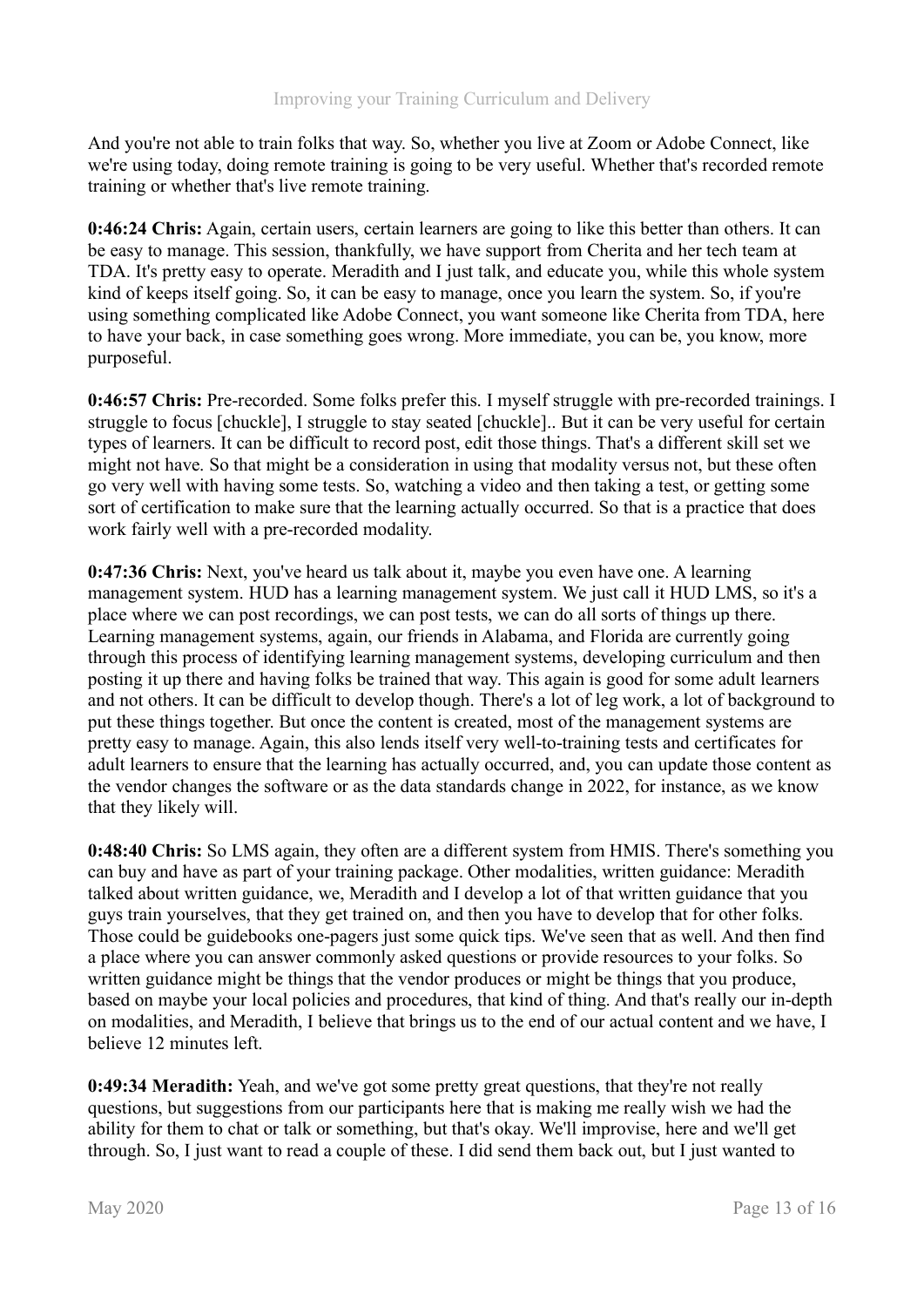And you're not able to train folks that way. So, whether you live at Zoom or Adobe Connect, like we're using today, doing remote training is going to be very useful. Whether that's recorded remote training or whether that's live remote training.

**0:46:24 Chris:** Again, certain users, certain learners are going to like this better than others. It can be easy to manage. This session, thankfully, we have support from Cherita and her tech team at TDA. It's pretty easy to operate. Meradith and I just talk, and educate you, while this whole system kind of keeps itself going. So, it can be easy to manage, once you learn the system. So, if you're using something complicated like Adobe Connect, you want someone like Cherita from TDA, here to have your back, in case something goes wrong. More immediate, you can be, you know, more purposeful.

**0:46:57 Chris:** Pre-recorded. Some folks prefer this. I myself struggle with pre-recorded trainings. I struggle to focus [chuckle], I struggle to stay seated [chuckle].. But it can be very useful for certain types of learners. It can be difficult to record post, edit those things. That's a different skill set we might not have. So that might be a consideration in using that modality versus not, but these often go very well with having some tests. So, watching a video and then taking a test, or getting some sort of certification to make sure that the learning actually occurred. So that is a practice that does work fairly well with a pre-recorded modality.

**0:47:36 Chris:** Next, you've heard us talk about it, maybe you even have one. A learning management system. HUD has a learning management system. We just call it HUD LMS, so it's a place where we can post recordings, we can post tests, we can do all sorts of things up there. Learning management systems, again, our friends in Alabama, and Florida are currently going through this process of identifying learning management systems, developing curriculum and then posting it up there and having folks be trained that way. This again is good for some adult learners and not others. It can be difficult to develop though. There's a lot of leg work, a lot of background to put these things together. But once the content is created, most of the management systems are pretty easy to manage. Again, this also lends itself very well-to-training tests and certificates for adult learners to ensure that the learning has actually occurred, and, you can update those content as the vendor changes the software or as the data standards change in 2022, for instance, as we know that they likely will.

**0:48:40 Chris:** So LMS again, they often are a different system from HMIS. There's something you can buy and have as part of your training package. Other modalities, written guidance: Meradith talked about written guidance, we, Meradith and I develop a lot of that written guidance that you guys train yourselves, that they get trained on, and then you have to develop that for other folks. Those could be guidebooks one-pagers just some quick tips. We've seen that as well. And then find a place where you can answer commonly asked questions or provide resources to your folks. So written guidance might be things that the vendor produces or might be things that you produce, based on maybe your local policies and procedures, that kind of thing. And that's really our in-depth on modalities, and Meradith, I believe that brings us to the end of our actual content and we have, I believe 12 minutes left.

**0:49:34 Meradith:** Yeah, and we've got some pretty great questions, that they're not really questions, but suggestions from our participants here that is making me really wish we had the ability for them to chat or talk or something, but that's okay. We'll improvise, here and we'll get through. So, I just want to read a couple of these. I did send them back out, but I just wanted to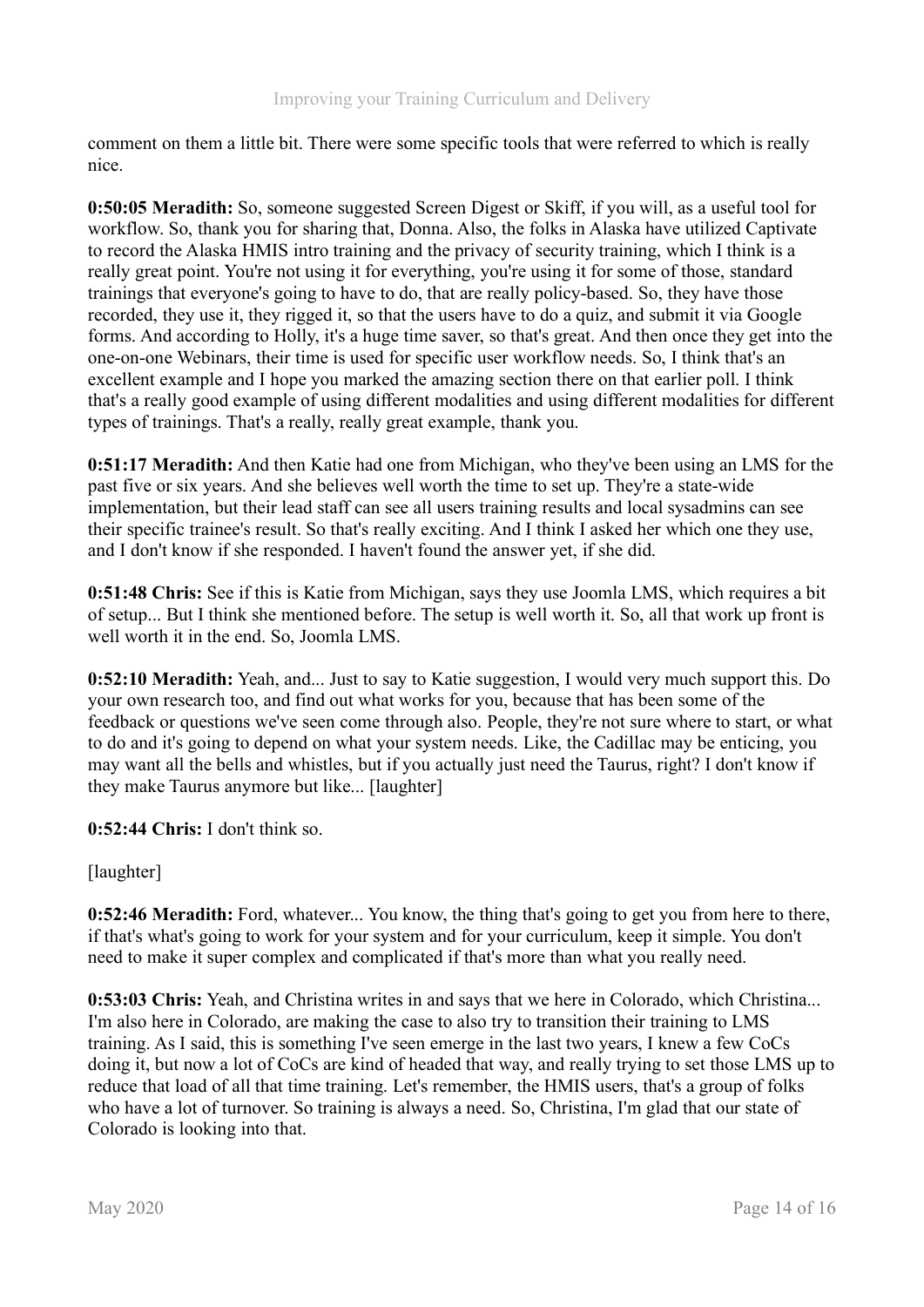comment on them a little bit. There were some specific tools that were referred to which is really nice.

**0:50:05 Meradith:** So, someone suggested Screen Digest or Skiff, if you will, as a useful tool for workflow. So, thank you for sharing that, Donna. Also, the folks in Alaska have utilized Captivate to record the Alaska HMIS intro training and the privacy of security training, which I think is a really great point. You're not using it for everything, you're using it for some of those, standard trainings that everyone's going to have to do, that are really policy-based. So, they have those recorded, they use it, they rigged it, so that the users have to do a quiz, and submit it via Google forms. And according to Holly, it's a huge time saver, so that's great. And then once they get into the one-on-one Webinars, their time is used for specific user workflow needs. So, I think that's an excellent example and I hope you marked the amazing section there on that earlier poll. I think that's a really good example of using different modalities and using different modalities for different types of trainings. That's a really, really great example, thank you.

**0:51:17 Meradith:** And then Katie had one from Michigan, who they've been using an LMS for the past five or six years. And she believes well worth the time to set up. They're a state-wide implementation, but their lead staff can see all users training results and local sysadmins can see their specific trainee's result. So that's really exciting. And I think I asked her which one they use, and I don't know if she responded. I haven't found the answer yet, if she did.

**0:51:48 Chris:** See if this is Katie from Michigan, says they use Joomla LMS, which requires a bit of setup... But I think she mentioned before. The setup is well worth it. So, all that work up front is well worth it in the end. So, Joomla LMS.

**0:52:10 Meradith:** Yeah, and... Just to say to Katie suggestion, I would very much support this. Do your own research too, and find out what works for you, because that has been some of the feedback or questions we've seen come through also. People, they're not sure where to start, or what to do and it's going to depend on what your system needs. Like, the Cadillac may be enticing, you may want all the bells and whistles, but if you actually just need the Taurus, right? I don't know if they make Taurus anymore but like... [laughter]

**0:52:44 Chris:** I don't think so.

[laughter]

**0:52:46 Meradith:** Ford, whatever... You know, the thing that's going to get you from here to there, if that's what's going to work for your system and for your curriculum, keep it simple. You don't need to make it super complex and complicated if that's more than what you really need.

**0:53:03 Chris:** Yeah, and Christina writes in and says that we here in Colorado, which Christina... I'm also here in Colorado, are making the case to also try to transition their training to LMS training. As I said, this is something I've seen emerge in the last two years, I knew a few CoCs doing it, but now a lot of CoCs are kind of headed that way, and really trying to set those LMS up to reduce that load of all that time training. Let's remember, the HMIS users, that's a group of folks who have a lot of turnover. So training is always a need. So, Christina, I'm glad that our state of Colorado is looking into that.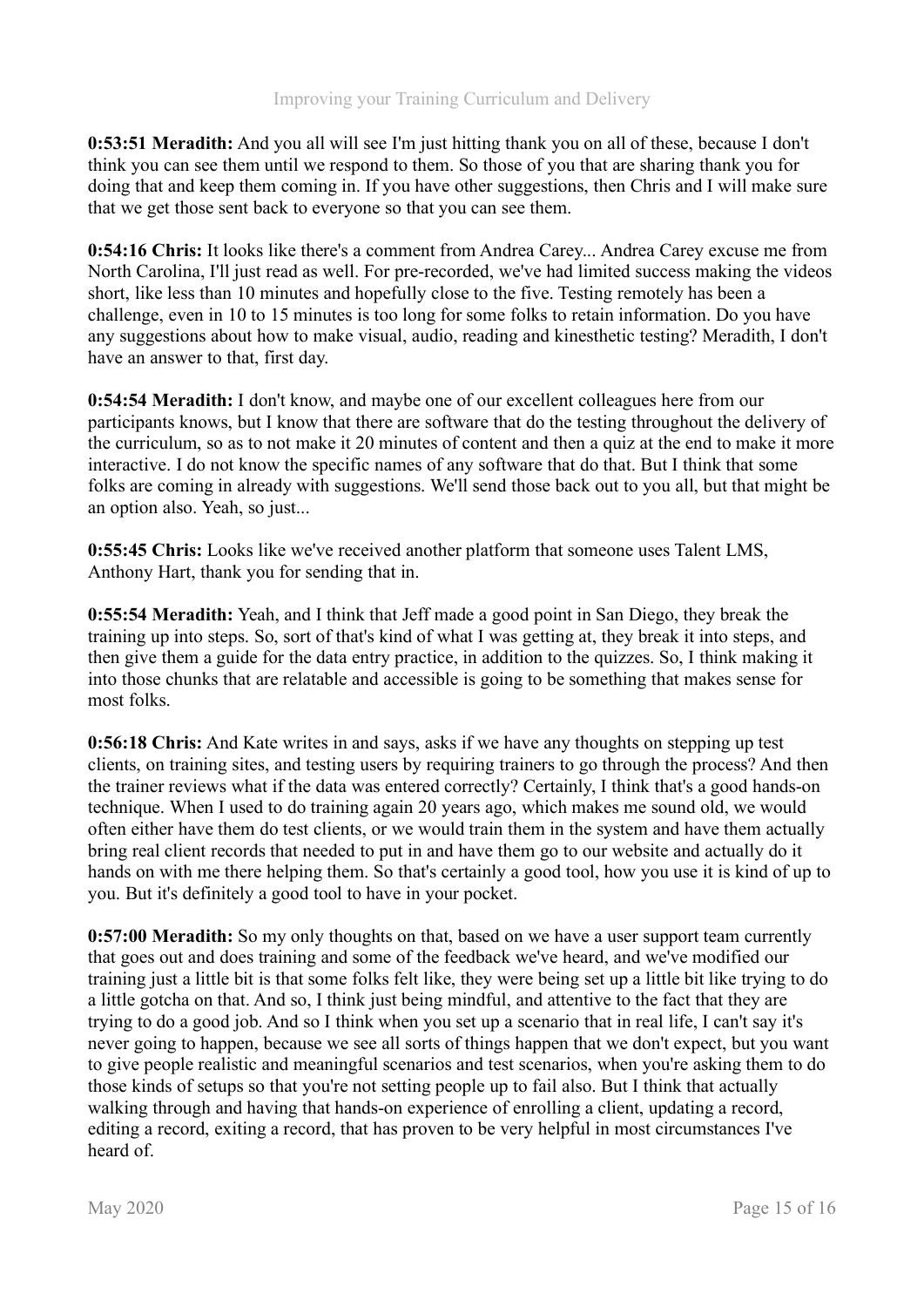**0:53:51 Meradith:** And you all will see I'm just hitting thank you on all of these, because I don't think you can see them until we respond to them. So those of you that are sharing thank you for doing that and keep them coming in. If you have other suggestions, then Chris and I will make sure that we get those sent back to everyone so that you can see them.

**0:54:16 Chris:** It looks like there's a comment from Andrea Carey... Andrea Carey excuse me from North Carolina, I'll just read as well. For pre-recorded, we've had limited success making the videos short, like less than 10 minutes and hopefully close to the five. Testing remotely has been a challenge, even in 10 to 15 minutes is too long for some folks to retain information. Do you have any suggestions about how to make visual, audio, reading and kinesthetic testing? Meradith, I don't have an answer to that, first day.

**0:54:54 Meradith:** I don't know, and maybe one of our excellent colleagues here from our participants knows, but I know that there are software that do the testing throughout the delivery of the curriculum, so as to not make it 20 minutes of content and then a quiz at the end to make it more interactive. I do not know the specific names of any software that do that. But I think that some folks are coming in already with suggestions. We'll send those back out to you all, but that might be an option also. Yeah, so just...

**0:55:45 Chris:** Looks like we've received another platform that someone uses Talent LMS, Anthony Hart, thank you for sending that in.

**0:55:54 Meradith:** Yeah, and I think that Jeff made a good point in San Diego, they break the training up into steps. So, sort of that's kind of what I was getting at, they break it into steps, and then give them a guide for the data entry practice, in addition to the quizzes. So, I think making it into those chunks that are relatable and accessible is going to be something that makes sense for most folks.

**0:56:18 Chris:** And Kate writes in and says, asks if we have any thoughts on stepping up test clients, on training sites, and testing users by requiring trainers to go through the process? And then the trainer reviews what if the data was entered correctly? Certainly, I think that's a good hands-on technique. When I used to do training again 20 years ago, which makes me sound old, we would often either have them do test clients, or we would train them in the system and have them actually bring real client records that needed to put in and have them go to our website and actually do it hands on with me there helping them. So that's certainly a good tool, how you use it is kind of up to you. But it's definitely a good tool to have in your pocket.

**0:57:00 Meradith:** So my only thoughts on that, based on we have a user support team currently that goes out and does training and some of the feedback we've heard, and we've modified our training just a little bit is that some folks felt like, they were being set up a little bit like trying to do a little gotcha on that. And so, I think just being mindful, and attentive to the fact that they are trying to do a good job. And so I think when you set up a scenario that in real life, I can't say it's never going to happen, because we see all sorts of things happen that we don't expect, but you want to give people realistic and meaningful scenarios and test scenarios, when you're asking them to do those kinds of setups so that you're not setting people up to fail also. But I think that actually walking through and having that hands-on experience of enrolling a client, updating a record, editing a record, exiting a record, that has proven to be very helpful in most circumstances I've heard of.